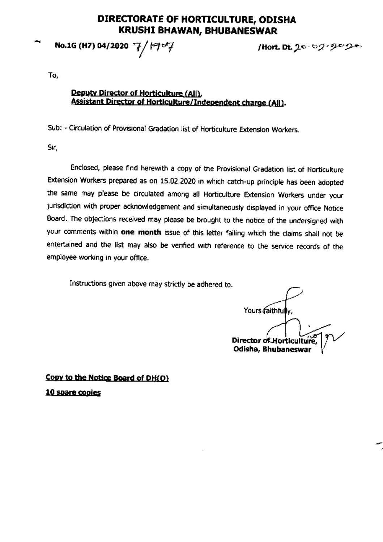## DIRECTORATE OF HORTICULTURE, ODISHA **KRUSHI BHAWAN, BHUBANESWAR**

No.1G (H7) 04/2020

/Hort. Dt. 20.02.2020

To,

## Deputy Director of Horticulture (All), Assistant Director of Horticulture/Independent charge (All).

Sub: - Circulation of Provisional Gradation list of Horticulture Extension Workers.

Sir.

Enclosed, please find herewith a copy of the Provisional Gradation list of Horticulture Extension Workers prepared as on 15.02.2020 in which catch-up principle has been adopted the same may please be circulated among all Horticulture Extension Workers under your jurisdiction with proper acknowledgement and simultaneously displayed in your office Notice Board. The objections received may please be brought to the notice of the undersigned with your comments within one month issue of this letter failing which the claims shall not be entertained and the list may also be verified with reference to the service records of the employee working in your office.

Instructions given above may strictly be adhered to.

Yours daithfully. Director of Horticultur Odisha, Bhubaneswar

Copy to the Notice Board of DH(O) 10 spare copies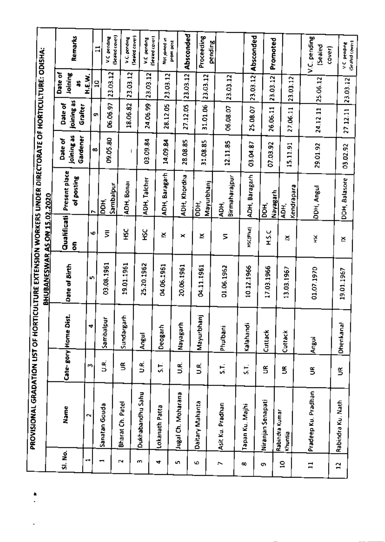|            | PROVISIONAL GRADATION LIST OF HORT |                          |                      | <b>NCULTURE EXTENSION WORKERS UNDER DIRECTORATE OF HORTICULTURE: ODISHA:</b> |                  |                                |                                   |                                  |                         |                                                  |
|------------|------------------------------------|--------------------------|----------------------|------------------------------------------------------------------------------|------------------|--------------------------------|-----------------------------------|----------------------------------|-------------------------|--------------------------------------------------|
|            |                                    |                          |                      | BHUBANESWAR AS ON 15.02.2020                                                 |                  |                                |                                   |                                  |                         |                                                  |
| SI. No.    | Name                               |                          | Cate-gory Home Dist. | Date of Birth                                                                | Qualificati<br>s | Present place<br>of posting    | as grinici<br>Gardener<br>Date of | joining as<br>Date of<br>Grafter | Date of<br>Joining<br>ä | Remarks                                          |
| <b>THE</b> | Z                                  | т                        | 4                    | P.                                                                           | Φ                | r                              | ∞                                 | œ                                | H.E.W.                  |                                                  |
| -          | Sanatan Gouda                      | Ś                        | Sambalpu             | 03.08.1961                                                                   | ξ                | Sambalpur<br>РÓД,              | 09.05.80                          | 06.06.97                         | 23.03.12<br>₽           | V.C. pending<br>$\mathbf{1}$                     |
| N          | Bharat Ch. Patel                   | $\widetilde{\mathbb{S}}$ | ÷<br>realepung       | 19.01.1961                                                                   | λŠ               | ADH, Bonai                     |                                   | 18.06.82                         | 23.03.12                | (Sealed cover)<br>(Sealed cover)<br>V.C. pending |
| m          | Dukhabandhu Sahu                   | نو<br>د                  | Angul                | 25.20.1962                                                                   | š                | ADH, Talcher                   | 03.09.84                          | 24.06.99                         | 23.03.12                | Sealed cover)<br>V.C. pending                    |
| 4          | Lokanath Patta                     | ζÍ,                      | Deogarh              | 04.06.1961                                                                   | ×                | ADH, Baragarh                  | 14.09.84                          | 28.12.05                         | 23.03.12                | Not joined in<br>prom piost                      |
| S.         | Jugal Ch. Moharana                 | نو<br>ک                  | Nayagarh             | 20.06.1961                                                                   | ×                | ADH, Khordha                   | 28.08.85                          | 27.12.05                         | 23.03.12                | Absconded                                        |
| ю          | Daitary Mahanta                    | نو<br>د                  | Έ<br>Mayurbhai       | 04.11.1961                                                                   | ×                | <b>Mayurbhanj</b><br>юон,      | 31.08.85                          | 31.01.06                         | 23.03.12                | Proceeding                                       |
| Ñ          | Asit Ku. Pradhan                   | 51.                      | Phulbani             | 01.06.1962                                                                   | ⋝                | Birmaharajpur<br>ADH,          | 12.11.85                          | 06.08.07                         | 23.03.12                | pending                                          |
| œ          | Tapan Ku. Majhi                    | 51,                      | Kalahandi            | 10.12.1966                                                                   | HSC(Pho)         | ADH, Baragarh                  | 03.04.87                          | 25.08.07                         | 23.03.12                | Absconded                                        |
| o          | Niranjan Senapati                  | $\mathbf{g}$             | Cuttack              | 17.03.1966                                                                   | H.S.C            | DОН,                           | 07.03.92                          | 26.06.11                         | 23.03.12                | Promoted                                         |
| ã          | Rabindra Kumar<br>Khuntia          | S                        | Cuttack              | 13.03.1967                                                                   | 즈                | Kendrapara<br>Nayagarh<br>ADH. | 15.11.91                          | 27.06.11                         | 23.03.12                |                                                  |
| $\Xi$      | Pradeep Ku, Pradhan                | š                        | Angul                | 01.07.1970                                                                   | Š                | DDH, Angul                     | 29.01.92                          | 24.12.11                         | 25.06.12                | V.C. pending<br>(Sealed<br>cover)                |
| 5          | Rabindra Ku, Nath                  | š                        | <b>Ohenkanal</b>     | 19.01.1967                                                                   | ×                | DDH, Balasore                  | 03.02.92                          | 27.12.11                         | 23.03.12                | VC pending                                       |
|            |                                    |                          |                      |                                                                              |                  |                                |                                   |                                  |                         | (Sealed cover)                                   |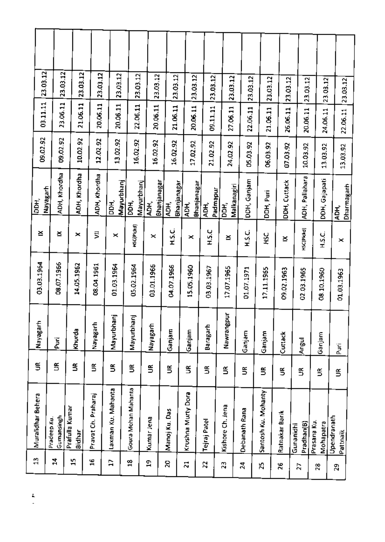| 23.03.12<br>23.03.12<br>23.03.12<br>23.03.12<br>23.03.12<br>23.03.12<br>23.03.12<br>23.03.12<br>23,03.12<br>23,03.12<br>23.03.12<br>23.03.12<br>23.03.12<br>23.03.12<br>23.03.12<br>03.11.11<br>23.06.11<br>21.06.11<br>20.06.11<br>20.06.11<br>22.06.11<br>20,06.11<br>21.06.11<br>20.06.11<br>09.11.11<br>27.06.11<br>22.06.11<br>21.06.11<br>26.06.11<br>20.06.11<br>09.02.92<br>09.02.92<br>10.02.92<br>12.02.92<br>13.02.92<br>16.02.92<br>16.02.92<br>16.02.92<br>17.02.92<br>21.02.92<br>24.02.92<br>05.03.92<br>06.03.92<br>07.03.92<br>10.03.92<br>ADH, Khordha<br>ADH, Khordha<br>ADH, Khordha<br>ADH, Pallahara<br>DDH, Ganjam<br>DDH, Cuttack<br>Mayurbhanj<br>Bhanjanagar<br>Bhanjanagar<br>Mayurbhanj<br><b>Bhanjanagar</b><br>Malkanagiri<br>Nayagarh<br>Padmapur<br>DDH, Puri<br>DDH,<br>돔.<br>DDH,<br>АÞ,<br>革<br>ΒÌ,<br>АDН,<br>ADH,<br>HSC(Pickd)<br><b>HSC[Pickd]</b><br>H.S.C.<br><b>HSC</b><br>ΗS.C<br>×<br>Š<br>스<br>×<br>ЯŠ<br>×<br>×<br>$\tilde{\phantom{a}}$<br>≚<br>×<br>03.03.1964<br>08.07.1966<br>14.05.1962<br>08.04.1961<br>01.03.1964<br>05.02.1964<br>03.01.1965<br>04.07.1966<br>15.05.1960<br>17.07.1965<br>03.03.1967<br>17.11.1965<br>01.07.1971<br>09.02.1963<br>02.03.1965<br>Nawrangpur<br>Mayurbhanj<br>Mayurbhanj<br>Nayagart<br>Nayagarh<br>Nayagarh<br>Baragarh<br>Khurda<br>Ganjam<br>Ganjam<br>Ganjam<br>Ganjam<br>Cuttack<br>ja<br>R<br>Angul<br>S<br>S<br>₹<br>š<br>⋚<br>⋚<br>S<br>š<br>š<br>S<br>š<br>⋚<br>⋚<br>5<br>S<br>Goura Mohan Mahanta<br>Laxman Ku, Mahanta<br>Santosh Ku. Mohanty<br>Krushna Murty Dora<br>Muralidhar Behera<br>Pravat Ch. Praharaj<br>Kishore Ch. Jena<br>Prafulla Kumar<br>Debanath Rana<br>Manoj Ku. Das<br>Ratnakar Barik<br>Gumansingh<br>Kumar Jena<br>Pradeep Ku.<br>Tejraj Patel<br>Pradhan(B)<br>Gunanidhi<br>Bidhar<br>$\mathbf{r}$<br>Ż,<br>5<br>16<br>H<br>38<br>51<br>S<br>2 |  |  |  |  |    |    |    |    |    |    |                          |                         |  |
|----------------------------------------------------------------------------------------------------------------------------------------------------------------------------------------------------------------------------------------------------------------------------------------------------------------------------------------------------------------------------------------------------------------------------------------------------------------------------------------------------------------------------------------------------------------------------------------------------------------------------------------------------------------------------------------------------------------------------------------------------------------------------------------------------------------------------------------------------------------------------------------------------------------------------------------------------------------------------------------------------------------------------------------------------------------------------------------------------------------------------------------------------------------------------------------------------------------------------------------------------------------------------------------------------------------------------------------------------------------------------------------------------------------------------------------------------------------------------------------------------------------------------------------------------------------------------------------------------------------------------------------------------------------------------------------------------------------------------------------------------------------------------------------------------------------------------------------------------------------------|--|--|--|--|----|----|----|----|----|----|--------------------------|-------------------------|--|
|                                                                                                                                                                                                                                                                                                                                                                                                                                                                                                                                                                                                                                                                                                                                                                                                                                                                                                                                                                                                                                                                                                                                                                                                                                                                                                                                                                                                                                                                                                                                                                                                                                                                                                                                                                                                                                                                      |  |  |  |  |    |    |    |    |    |    |                          |                         |  |
|                                                                                                                                                                                                                                                                                                                                                                                                                                                                                                                                                                                                                                                                                                                                                                                                                                                                                                                                                                                                                                                                                                                                                                                                                                                                                                                                                                                                                                                                                                                                                                                                                                                                                                                                                                                                                                                                      |  |  |  |  |    |    |    |    |    |    | 23.03.12                 | 23.03.12                |  |
|                                                                                                                                                                                                                                                                                                                                                                                                                                                                                                                                                                                                                                                                                                                                                                                                                                                                                                                                                                                                                                                                                                                                                                                                                                                                                                                                                                                                                                                                                                                                                                                                                                                                                                                                                                                                                                                                      |  |  |  |  |    |    |    |    |    |    | 24.06.11                 | 22.06.11                |  |
|                                                                                                                                                                                                                                                                                                                                                                                                                                                                                                                                                                                                                                                                                                                                                                                                                                                                                                                                                                                                                                                                                                                                                                                                                                                                                                                                                                                                                                                                                                                                                                                                                                                                                                                                                                                                                                                                      |  |  |  |  |    |    |    |    |    |    | 13.03.92                 | 13.03.92                |  |
|                                                                                                                                                                                                                                                                                                                                                                                                                                                                                                                                                                                                                                                                                                                                                                                                                                                                                                                                                                                                                                                                                                                                                                                                                                                                                                                                                                                                                                                                                                                                                                                                                                                                                                                                                                                                                                                                      |  |  |  |  |    |    |    |    |    |    | DDH, Gajapati            | Dharmagarh<br>ADH,      |  |
|                                                                                                                                                                                                                                                                                                                                                                                                                                                                                                                                                                                                                                                                                                                                                                                                                                                                                                                                                                                                                                                                                                                                                                                                                                                                                                                                                                                                                                                                                                                                                                                                                                                                                                                                                                                                                                                                      |  |  |  |  |    |    |    |    |    |    | ט בי<br>בי               | ×                       |  |
|                                                                                                                                                                                                                                                                                                                                                                                                                                                                                                                                                                                                                                                                                                                                                                                                                                                                                                                                                                                                                                                                                                                                                                                                                                                                                                                                                                                                                                                                                                                                                                                                                                                                                                                                                                                                                                                                      |  |  |  |  |    |    |    |    |    |    | 08.10.1960               | 01.03.1963              |  |
|                                                                                                                                                                                                                                                                                                                                                                                                                                                                                                                                                                                                                                                                                                                                                                                                                                                                                                                                                                                                                                                                                                                                                                                                                                                                                                                                                                                                                                                                                                                                                                                                                                                                                                                                                                                                                                                                      |  |  |  |  |    |    |    |    |    |    | Ganjam                   | Б.<br>Ригі              |  |
|                                                                                                                                                                                                                                                                                                                                                                                                                                                                                                                                                                                                                                                                                                                                                                                                                                                                                                                                                                                                                                                                                                                                                                                                                                                                                                                                                                                                                                                                                                                                                                                                                                                                                                                                                                                                                                                                      |  |  |  |  |    |    |    |    |    |    | $\widetilde{\mathbb{E}}$ | S                       |  |
|                                                                                                                                                                                                                                                                                                                                                                                                                                                                                                                                                                                                                                                                                                                                                                                                                                                                                                                                                                                                                                                                                                                                                                                                                                                                                                                                                                                                                                                                                                                                                                                                                                                                                                                                                                                                                                                                      |  |  |  |  |    |    |    |    |    |    | Prasana Ku<br>Mohapatra  | Upendranath<br>Pattnaik |  |
|                                                                                                                                                                                                                                                                                                                                                                                                                                                                                                                                                                                                                                                                                                                                                                                                                                                                                                                                                                                                                                                                                                                                                                                                                                                                                                                                                                                                                                                                                                                                                                                                                                                                                                                                                                                                                                                                      |  |  |  |  | 22 | 23 | 24 | 25 | 26 | 27 | 28                       | 꿃                       |  |

Ł,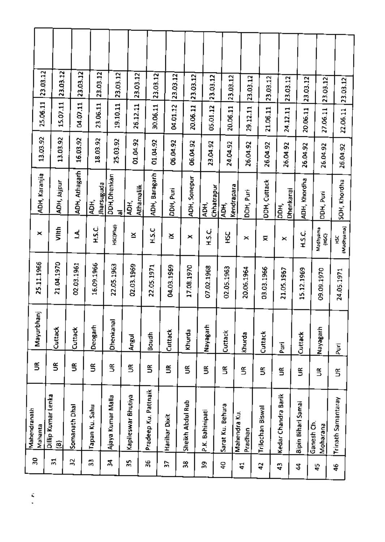|                               |             |                                                        |                                             |                                      |                      |                      |               | 23.03.12         | 23.03.12        | 23,03.12         | 23.03.12             | 23.03.12                   | 23.03.12                         |                                     |                                                            | 23.03.12                                                                           |
|-------------------------------|-------------|--------------------------------------------------------|---------------------------------------------|--------------------------------------|----------------------|----------------------|---------------|------------------|-----------------|------------------|----------------------|----------------------------|----------------------------------|-------------------------------------|------------------------------------------------------------|------------------------------------------------------------------------------------|
| 25.06.11                      | 15.07.11    |                                                        | 23.06.11                                    | 19.10.11                             | 26.12.11             | 30.06.11             | 04.01.12      | 20.06.11         | 05.01.12        | 20.06.11         | 29.12.11             | 21.06.11                   | 24.12.11                         |                                     | 27.06.11                                                   | 22.06.11                                                                           |
| 13.03.92                      | 13.03.92    | 16.03.92                                               | 18.03.92                                    | 25.03.92                             | 01.04.92             | 01.04.92             | 06.04.92      | 06.04.92         | 23.04.92        | 24.04.92         | 26.04.92             | 26.04.92                   | 26.04.92                         | 26.04.92                            | 26.04.92                                                   | 26.04.92                                                                           |
| ADH, Karanjia                 | ADH, Jajpur | ADH, Athagarh                                          | ADH,                                        | DDH, Dhenkan<br>$\overline{\bullet}$ | ADH.                 | ADH, Baragarh        | DDH, Puri     | ADH, Sonepur     | ĄЭH,            |                  | DDH, Puri            |                            |                                  |                                     |                                                            | SOH, Khordha                                                                       |
| ×                             | Viith       | 3                                                      | H.S.C.                                      | <b>HSC(Plkd)</b>                     | ≚                    | H.S.C                | ×             | ×                | is.c            | у<br>У           | ×                    | ≅                          | ×                                | HSC.                                | Madhyama<br>$\overline{3}$                                 | (Madhyama)<br>Ř                                                                    |
| 25.11.1966                    |             | 02.03.1961                                             | 16.09.1966                                  | 22.05.1963                           | 02.03.1969           | 22.05.1971           | 04.03.1969    | 17.08.1970       | 07.02.1968      | 02.05.1963       | 20.06.1964           | 03.03.1966                 | 21.05.1967                       | 15.12.1969                          | 09.09.1970                                                 | 24.05.1971                                                                         |
| ian<br>P                      |             | Cuttack                                                | Deogarh                                     | Dhenkanal                            | Angul                | Boudh                | Cuttack       | Khurda           | Nayagarh        | <b>Cuttack</b>   | Khurda               | Cuttack                    |                                  |                                     |                                                            | <b>Puri</b>                                                                        |
|                               |             | S                                                      | š                                           | S                                    | S                    | š                    | ⋚             | ã                | ⋚               | $\tilde{z}$      | S                    | š                          | S                                | š                                   | $\tilde{z}$                                                | S                                                                                  |
| Dillip Kumar Lenka<br>Mahanta | O           |                                                        | Tapan Ku, Sahu                              | Ajaya Kumar Malla                    | Kapileswar Bhutiya   | Pradeep Ku. Pattnaik | Harihar Dixit | Sheikh Abdul Rub | P.K. Bahinipati | Sarat Ku. Behura | Pradhan              |                            |                                  |                                     |                                                            | Trinath Samantaray                                                                 |
|                               |             |                                                        | ä,                                          | 복                                    | X)                   | 56                   | Ľ.            | 黑                | å,              | å.               | 41                   | 47                         | 닼                                | \$                                  | 45                                                         | ¥                                                                                  |
|                               | 23.03.12    | 23.03.12<br>21.04.1970<br>Cuttack<br>š<br>$\mathbf{H}$ | 23.03.12<br>04.07.11<br>Somanath Dhal<br>ž, | 23.03.12                             | 23.03.12<br>spugueda | 23.03.12             | Athamalik     | 23.03.12         | 23.03.12        |                  | Chhatrapur<br>न<br>इ | Kendrapara<br>Mahendra Ku. | DDH, Cuttack<br>Trilochan Biswal | DDH,<br>Puri<br>Kedar Chandra Barik | ADH, Khordha<br>Dhenkanal<br>Cuttack<br>Bipin Bihari Samal | 23.03.12<br>23.03.12<br>20.06.11<br>DDH, Puri<br>Mayagarh<br>Ganesh Ch<br>Moharana |

 $\frac{c}{\epsilon}$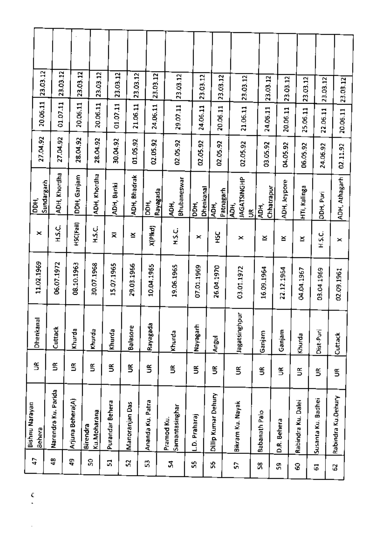|                | 23.03.12          | 23.03.12            | 23.03.12         | 23.03.12                | 23.03.12        | 23,03.12       | 23.03.12         | 23.03.12                     | 23.03.12             | 23.03.12            | 23.03.12                      | 23.03.12               | 23.03.12     | 23.03.12           | 23,03.12           | 23.03.12           |  |
|----------------|-------------------|---------------------|------------------|-------------------------|-----------------|----------------|------------------|------------------------------|----------------------|---------------------|-------------------------------|------------------------|--------------|--------------------|--------------------|--------------------|--|
|                | 20.06.11          | 01.07.11            | 20.06.11         | 20.06.11                | 01.07.11        | 21.06.11       | 24.06.11         | 29.07.11                     | 24.06.11             | 20.06.11            | 21.06.11                      | 24.06.11               | 20.06.11     | 25.06.11           | 22.06.11           | 20.06.11           |  |
|                | 27.04.92          | 27.04.92            | 28.04.92         | 28.04.92                | 30.04.92        | 01.05.92       | 02.05.92         | 02.05.92                     | 02.05.92             | 02.05.92            | 02.05.92                      | 03.05.92               | 04.05.92     | 06.05.92           | 24.06.92           | 02.11.92           |  |
|                | Sundargarh<br>ăр. | ADH, Khordha        | DDH, Ganjam      | ADH, Khordha            | ADH, Banki      | ADH, Bhadrak   | Rayagada<br>ăя,  | Bhubaneswar<br>ÃОH,          | Dhenkanal<br>РÁ<br>О | Patnagarh<br>ÁФH,   | <b>JAGATSINGHP</b><br>49<br>S | Chhatrapur<br>Тан<br>К | ADH, Jeypore | HTI, Kalinga       | DDH, Puri          | ADH, Athagarh      |  |
|                | ×                 | H.S.C.              | <b>HSC(Fail)</b> | H.S.C.                  | ×               | ≚              | X(P)kd)          | HS.C.                        | $\,$                 | ž                   | ×                             | ≚                      | ×            | ×                  | ن<br>1.5 H         | ×                  |  |
|                | 11.02.1969        | 06.07.1972          | 08.10.1963       | 30.07.1968              | 15.07.1965      | 29.03.1966     | 10.04.1965       | 19.06.1965                   | 07.01.1969           | 26.04.1970          | 03.01.1972                    | 16.09.1964             | 22.12.1964   | 04.04.1967         | 03.04.1969         | 02.09.1961         |  |
|                | Dhenkanal         | Cuttack             | Khurda           | Khurda                  | Khurda          | Balasore       | Rayagada         | Khurda                       | Nayagarh             | Angul               | Iughgatsing                   | Ganjam                 | Ganjam       | Khurda             | Dist-Puri          | Cuttack            |  |
|                | $\tilde{z}$       | S                   | š                | š                       | ⋚               | š              | š                | š                            | S                    | Š                   | ⋚                             | š                      | $\tilde{z}$  | $\tilde{z}$        | S                  | š                  |  |
| Bishnu Narayan | Behera            | Narendra Ku. Parida | Arjuna Behera(A) | Ku.Moharana<br>Birendra | Purandar Behera | Manoranjan Das | Ananda Ku, Patra | Samantasinghar<br>Pramod Ku. | L.D. Praharaj        | Dillip Kumar Dehury | Bikram Ku. Nayak              | Babanath Palo          | D.R. Behera  | Rabindra Ku, Dalei | Susanta Ku. Badhei | Rabindra Ku.Dehury |  |
|                | ५                 | 48                  | đ.               | ន្ល                     | 5               | S              | B                | Ã                            | S,                   | S,                  | G                             | X                      | S.           | 8                  | 5                  | ß                  |  |
|                |                   |                     |                  |                         |                 |                |                  |                              |                      |                     |                               |                        |              |                    |                    |                    |  |

 $\zeta$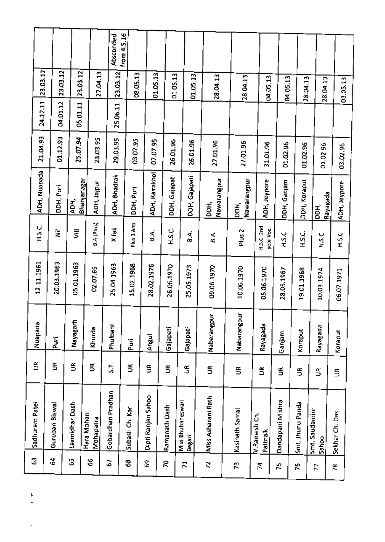|                          | Sadhuram Patel     | S                        | Nuapada     | 12.11.1961 | H.S.C.                  |                     |          |          |          |             |
|--------------------------|--------------------|--------------------------|-------------|------------|-------------------------|---------------------|----------|----------|----------|-------------|
|                          |                    |                          |             |            |                         | ADH, Nuapada        | 21.04.93 | 24.12.11 | 23.03.12 |             |
| Gurubari Biswal          |                    | S                        | Ş           | 20.03.1963 | ā                       | DDH, Puri           | 01.12.93 | 04.01.12 | 23.03.12 |             |
| Laxmidhar Dash           |                    | Š                        | Nayagarh    | 05.01.1963 | ξ                       | Bhanjanagar<br>ADH, | 25.07.94 | 05.01.11 | 23.03.12 |             |
| Hara Mohan<br>Mohapatra  |                    | ⋚                        | Khurda      | 02.07.69   | 8.A. (Pass)             | ADH, Jajpur         | 23.03.95 |          | 27.04.13 |             |
|                          | Gobardhan Pradhan  | 5                        | Phulbani    | 25.04.1963 | X fail                  | ADH, Bhadrak        | 29.03.95 | 25.06.11 | 23.03.12 | Absconded   |
| Subash Ch. Kar           |                    | $\widetilde{\mathbb{F}}$ | Puri        | 15.02.1968 | Plus 3 Arts             | DDH, Puri           | 03.07.95 |          | 08.05.13 | from 4.5.16 |
|                          | Dipti Ranjan Sahoo | S                        | Angul       | 28.02.1976 | $\mathbf{B}$            | ADH, Rairakhol      | 07.07.95 |          | 01.05.13 |             |
| Ramanath Dash            |                    | š                        | Gajapati    | 26.06.1970 | H.S.C                   | DDH, Gajapati       | 26.01.96 |          | 01.05.13 |             |
| Begari                   | Miss Bhubaneswarl  | ŝ                        | Gajapati    | 25.05.1973 | له<br>ه                 | DDH, Gajapati       | 26.01.96 |          | 01.05.13 |             |
|                          | Miss Asharani Rath | Š                        | Nabarangpur | 09.06.1970 | ्<br>ब                  | Nawarangpur<br>DЪ,  | 27,01.96 |          | 28.04.13 |             |
| Kasinath Samal           |                    | ⋚                        | Nabarangpur | 10.06.1970 | Plus <sub>2</sub>       | Nawarangpur<br>DDH, | 27.01.95 |          | 28.04.13 |             |
| V.Ramesh Ch.<br>Pattnaik |                    | š                        | Rayagada    | 05.06.1970 | H.S.C. 2nd<br>year voc. | ADH, Jeypore        | 31.01.96 |          | 04.05.13 |             |
|                          | Dandapani Mishra   | S                        | Ganjam      | 28.05.1967 | H.S.C.                  | DDH, Ganjam         | 01.02.96 |          | 04.05.13 |             |
|                          | Smt. Jhunu Panda   | £                        | Koraput     | 19.01.1968 | H.S.C.                  | DDH, Koraput        | 01.02.95 |          | 28.04.13 |             |
| Smt. Saudamini<br>Sahoo  |                    | S                        | Rayagada    | 10.03.1974 | H.S.C.                  | Rayagada<br>DOH,    | 01.02.96 |          | 28.04.13 |             |
| Sekhar Ch. Das           |                    | $\tilde{5}$              | Koraput     | 06.07.1971 | H.S.C                   | ADH, Jeypore        | 03.02.96 |          | 03.05.13 |             |
|                          |                    |                          |             |            |                         |                     |          |          |          |             |

S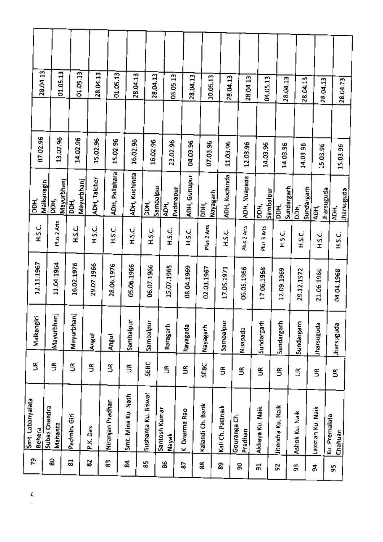| 종                          | 28.04.13<br>01.05.13<br>07.02.96<br>13.02.96<br>Malkanagiri<br>$\sum_{i=1}^{n}$ | 01.05.13<br>14.02.96<br>Mayurbhanj<br>DDH, | 28.04.13<br>15.02.96<br><b>ADH, Talcher</b><br>Mayurbhanj | 15.02.96<br>ADH, Pallahara | 01.05.13<br>28.04.13<br>16.02.96<br>ADH, Kuchinda | 28.04.13<br>16.02.96<br>좀 | 23.02.96<br>sambalpur<br>АDН, | 03.05.13<br>Padmapur | 28.04.13<br>04.03.96<br>ADH, Gunupur | 10.05.13<br>07.03.96<br><u>Nayagarh</u><br>葛 | 28,04.13<br>11.03.96<br>ADH, Kuchinda | 28.04.13<br>12.03.96<br>ADH, Nuapada | 04.05.13<br>14.03.96<br>ă, | Sambalpur         | DDH, | 28.04.13<br>14.03.96<br>Sundargarh | 28.04.13<br>14.03.96<br>DDH, | 28.04.13<br>15.03.96<br><b>Sundargarh</b><br><b>cpugnsyshi</b><br>ĄОН, |
|----------------------------|---------------------------------------------------------------------------------|--------------------------------------------|-----------------------------------------------------------|----------------------------|---------------------------------------------------|---------------------------|-------------------------------|----------------------|--------------------------------------|----------------------------------------------|---------------------------------------|--------------------------------------|----------------------------|-------------------|------|------------------------------------|------------------------------|------------------------------------------------------------------------|
| H.S.C.                     | Plus 2 Arts                                                                     | H.S.C.                                     | ں<br>12                                                   | H.S.C.                     | ن<br>بر<br>1                                      | ن<br>1.S.H                | ΗS.C.                         |                      | iya<br>His                           | Plus 2 Arts                                  | H.S.C.                                | Plus 2 Arts                          | Plus 3 Arts                | ن<br>بد           |      |                                    | ن<br>۲                       | ن<br>1.S                                                               |
| 12.11.1967                 | 11.04.1964                                                                      | 16.02.1976                                 | 29.07.1966                                                | 28.06.1976                 | 05.06.1966                                        | 06.07.1966                | 15.07.1965                    |                      | 08.04.1969                           | 02.03.1967                                   | 17.05.1971                            | 06.05.1966                           | 17.06.1968                 | 12.09.1969        |      |                                    | 29.12.1972                   | 21.06.1966                                                             |
| Malkangiri                 | Ē<br>Mayurbh                                                                    | Mayurbhanj                                 | <b>Angul</b>                                              | Angul                      | 느<br>ugledmes                                     | Sambalpur                 | Baragarh                      | Rayagada             |                                      | Nayagarh                                     | Sambalpur                             | Nuapada                              | Sundargarh                 | c<br>Sundargarl   |      |                                    | Sundargarh                   | <b>harsuguda</b>                                                       |
| š                          | Ś                                                                               | S                                          | 5                                                         | S                          | S                                                 | SEBC                      | ⋚                             | S                    |                                      | SEBC                                         | S                                     | Š                                    | ⋚                          | S                 |      |                                    | $\widetilde{\mathbb{E}}$     | 5                                                                      |
| Smt. Labanyalata<br>Behera | Subas Chandra<br>Mahanta                                                        | Padmini Giri                               | P.K. Das                                                  | Niranjan Pradhan           | Smt. Mina Ku. Nath                                | Sushanta Ku. Biswal       | Santosh Kumar<br>Nayak        | K. Dharma Rao        |                                      | Kalandi Ch. Barik                            | Kali Ch. Pattnaik                     | Gouranga Ch.<br>Pradhan              | Akhaya Ku, Naik            | Jitendra Ku, Naik |      |                                    | Ashok Ku, Naik               | Laxman Ku, Naik<br>Ku. Premalata                                       |
| ፎ                          | 3                                                                               | ವ                                          | S                                                         | 3                          | వ                                                 | s.                        | 96                            | Ρ                    |                                      | 88                                           | 8                                     | ႙                                    | 유                          | 3                 |      |                                    | 3                            | å,                                                                     |

 $\boldsymbol{\zeta}$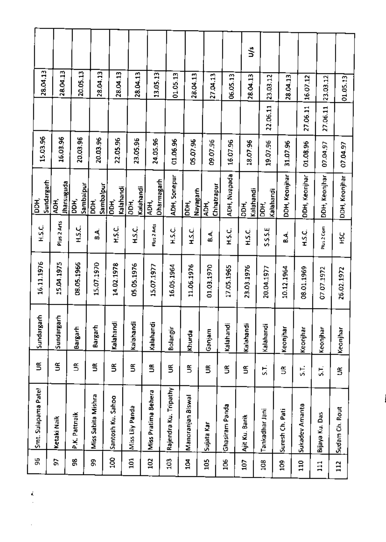|                     |            |                           |                   |                    |                   |                   |                     |                       |                   |                    |                | š                  |                   |                 |                |                 |                |
|---------------------|------------|---------------------------|-------------------|--------------------|-------------------|-------------------|---------------------|-----------------------|-------------------|--------------------|----------------|--------------------|-------------------|-----------------|----------------|-----------------|----------------|
|                     | 28.04.13   | 28.04.13                  | 20.05.13          | 28.04.13           | 28.04.13          | 28.04.13          | 13.05.13            | 01.05.13              | 28.04.13          | 27.04.13           | 06.05.13       | 28.04.13           | 23.03.12          | 28.04.13        | 16.07.12       | 23.03.12        | 01.05.13       |
|                     |            |                           |                   |                    |                   |                   |                     |                       |                   |                    |                |                    | 22.06.11          |                 | 27.06.11       | 27.06.11        |                |
|                     | 15.03.96   | 16.03.96                  | 20.03.96          | 20.03.96           | 22.05.96          | 23.05.96          | 24.05.96            | 01.06.96              | 05.07.96          | 09.07.96           | 16.07.96       | 18.07.96           | 19.07.96          | 31.07.96        | 01.08.96       | 07.04.97        | 07.04.97       |
| наq<br>О            | Sundargarh | <b>Jharsuguda</b><br>ADH, | Sambalpur<br>DDH, | Sambalpur<br>흥     | Kalahandi<br>횸    | Kalahandi<br>DDH, | Oharmagarh<br>ADH,  | ADH, Sonepur          | Nayagarh<br>DDH,  | Chhatrapur<br>ADH, | ADH, Nuapada   | Kalahandi<br>lоpн, | Kalahandi<br>DDH, | DDH, Keonjhar   | DDH, Keonjhar  | DDH, Keonjhar   | DDH, Keonjhar  |
|                     | ن<br>1- H  | Plus 2 Arts               | i<br>S.C.         | ्<br>प             | H.S.C.            | H.S.C.            | Plus 2 Arts         | H.S.C.                | H.S.C.            | م<br>ه             | H.S.C.         | HS.C.              | 5.5.5.E           | ्<br>ड          | H.S.C.         | Plus 2 Com      | ЯŠК            |
| 16.11.1976          |            | 15.04.1975                | 08.05.1966        | 15.07.1970         | 14.02.1978        | 05.05.1976        | 15.07.1977          | 16.05.1964            | 11.06.1976        | 01.03.1970         | 17.05.1965     | 23.03.1976         | 20.04.1977        | 10.12.1964      | 08.01.1969     | 07.07.1972      | 26.02.1972     |
| Sundargarh          |            | €<br>Sundarga             | Bargarh           | Bargarh            | Kalahand          | Kalahandi         | Kalahandi           | Bolangir              | Khurda            | Ganjam             | Kalahandi      | Kalahandi          | Kalahandi         | Keonjhar        | Keonjhar       | Keonjhar        | Keonjhar       |
| S                   |            | S                         | ⋚                 | š                  | š                 | Š                 | š                   | š                     | 5                 | ⋚                  | S              | S                  | ST.               | S               | 는              | Žί,             | £              |
| Smt. Sulapama Patel |            | Ketaki Naik               | P.K. Pattnaik     | Miss Sabita Mishra | Santosh Ku. Sahoo | Miss Lily Panda   | Miss Pratima Behera | Rajendra Ku. Tripathy | Manoranjan Biswal | Sujata Kar         | Ghasiram Panda | Ajit Ku. Barik     | Tankadhar Jani    | Suresh Ch. Pati | Sukadev Amanta | Bijaya Ku. Das  | Sudam Ch. Rout |
| 96                  |            | ã                         | g                 | æ                  | S <sub>0</sub>    | $\overline{a}$    | 102                 | $\frac{3}{2}$         | <b>ZOT</b>        | 105                | 106            | g                  | $\frac{8}{2}$     | <b>901</b>      | 110            | $\overline{11}$ | 112            |

Ķ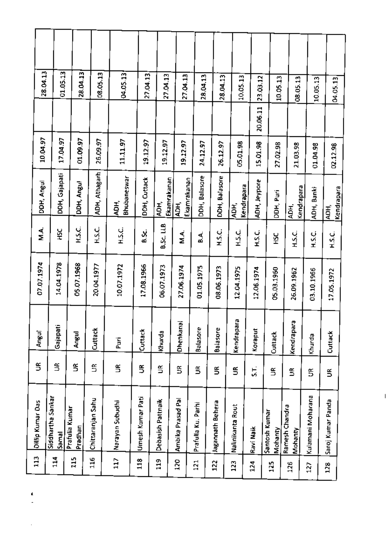| 28.04.13         | 01.05.13                          | 28.04.13                  | 08.05.13          | 04.05.13            |                  | 27.04.13 | 27.04.13            | 27.04.13                 | 28,04.13           | 28.04.13         |                  | 10.05.13        | 23.03.12     | 10.05.13                 | 08.05.13                  | 10.05.13                 | 04.05.13           |
|------------------|-----------------------------------|---------------------------|-------------------|---------------------|------------------|----------|---------------------|--------------------------|--------------------|------------------|------------------|-----------------|--------------|--------------------------|---------------------------|--------------------------|--------------------|
|                  |                                   |                           |                   |                     |                  |          |                     |                          |                    |                  |                  |                 | 20.06.11     |                          |                           |                          |                    |
| 10.04.97         | 17.04.97                          | 01.09.97                  | 26.09.97          | 11.11.97            |                  | 19.12.97 | 19.12.97            | 19,12.97                 | 24,12.97           | 26.12.97         | 05.01.98         |                 | 15.01.98     | 27.02.98                 | 21.03.98                  | 01.04.98                 | 02.12.98           |
| DDH, Angul       | DOH, Gajapati                     | DDH, Angul                | ADH, Athagarh     | Bhubaneswar<br>ADH, | DDH, Cuttack     |          | Ekamrakanan<br>AOH, | Ekamrakanan<br>ਮ<br>ਪ੍ਰੋ | DDH, Balasore      | DOH, Balasore    | ÄОН,             | Kendrapara      | ADH, Jeypore | DDH, Puri                | ADH.                      | Kendrapara<br>ADH, Banki | Kendrapara<br>ADH, |
| λ.<br>Σ          | РŠ                                | H.S.C.                    | H.S.C.            | H.S.C.              | نې<br>ف          |          | <b>B.Sc. LLB</b>    | ΜA.                      | ष्ट्<br>ब          | ΗS.C.            | H.S.C.           |                 | H.S.C.       | ЯH                       | H.S.C.                    | י ז<br>ד                 | H.S.C.             |
| 07.07.1974       | 14.04.1978                        | 05.07.1968                | 20.04.1977        | 10.07.1972          | 17.08.1966       |          | 06.07.1973          | 27.06.1974               | 01.05.1975         | 08.06.1973       | 12.04.1975       |                 | 12.06.1974   | 05.03.1960               | 26.09.1962                | 03.10.1966               | 17.05.1972         |
| Angul            | Gajapati                          | Angul                     | Cuttack           | Puri                | Cuttack          |          | khurda              | <b>Dhenkanal</b>         | Balasore           | Balasore         | ē<br>Kendrapa    |                 | Koraput      | Cuttack                  | n,<br>Kendrapar           | Khurda                   | Cuttack            |
| Š                | S                                 | š                         | š                 | Š                   | 5                |          | S                   | 5                        | S                  | ⋚                | S                |                 | ί,           | $\tilde{5}$              | $\tilde{z}$               | S                        | š                  |
| Dillip Kumar Das | Siddhartha Sankar<br><b>Samal</b> | Prafulla Kumar<br>Pradhan | Chittaranjan Sahu | Narayan Subudhi     | Umesh Kumar Pati |          | Debasish Pattnaik   | Ambika Prasad Pal        | Prafulla Ku. Parhi | Jagannath Behera | Nalinikanta Rout | Ravi Naik       |              | Santosh Kumar<br>Mohanty | Ramesh Chandra<br>Mohanty | Kulamani Moharana        | Saroj Kumar Panda  |
| 113              | 114                               | 115                       | 116               | $\overline{11}$     | 118              |          | 119                 | 20                       | $\overline{121}$   | 122              | 123              | $\overline{24}$ |              | 125                      | 126                       | 127                      | 128                |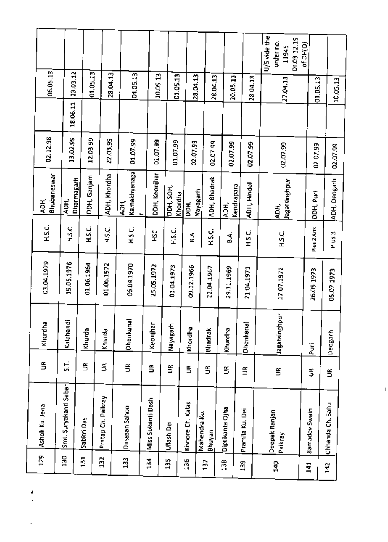$\mathbf{I}$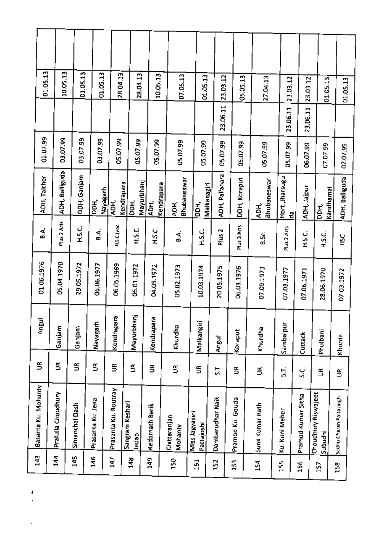|                     | 01.05.13     | 10,05.13           | 01.05.13       | 01.05.13                | 28.04.13             | 28.04.13                 | 10.05.13                  | 07.05.13                | 01.05.13                     | 23.03.12          | 05.05.13            | 27.04.13            | 23.03.12            | 23.03.12           | 01.05.13                       | 01.05.13                |
|---------------------|--------------|--------------------|----------------|-------------------------|----------------------|--------------------------|---------------------------|-------------------------|------------------------------|-------------------|---------------------|---------------------|---------------------|--------------------|--------------------------------|-------------------------|
|                     |              |                    |                |                         |                      |                          |                           |                         |                              | 23.06.11          |                     |                     | 23.06.11            | 23.06.11           |                                |                         |
|                     | 02.07.99     | 03.07.99           | 03.07.99       | 03.07.99                | 05.07.99             | 05.07.99                 | 05.07.99                  | 05.07.99                | 05.07.99                     | 05.07.99          | 05.07.99            | 05.07.99            | 05.07.99            | 06.07.99           | 07.07.99                       | 07.07.99                |
|                     | ADH, Talcher | ADH, Balliguda     | DDH, Ganjam    | <u>Nayagarh</u><br>DDH, | Kendrapara<br>ÄDН,   | Mayurbhanj<br>looн,      | <b>Kendrapara</b><br>AOH, | Bhubaneswar<br>AOH,     | Malkanagiri<br>Б.<br>В       | ADH, Pallahara    | <b>DDH, Когарит</b> | Bhubaneswar<br>ADH, | Hort.,Jharsugu<br>용 | ADH, Jajpur        | Kandhamal<br>Ìвр<br>Б          | ADH, Balliguda          |
|                     | a.<br>B      | Plus 2 Arts        | H.S.C.         | 8.A.                    | H.5.C. (Voc.         | H.S.C.                   | ب<br>S.C.                 | З.                      | i)<br>E                      | Plus <sub>2</sub> | Plus 3 Arts         | B.Sc.               | Plus 2 Arts         | ن<br>S.C           | ن<br>1.S.F                     | С<br>К                  |
|                     | 01.06.1976   | 05.04.1970         | 29.05.1972     | 06.06.1977              | 06.05.1969           | 06.01.1972               | 04.05.1972                | 05.02.1973              | 10.03.1974                   | 20.05.1975        | 06.03.1976          | 07.09.1973          | 07.03.1977          | 07.06.1971         | 28.06.1970                     | 07.03.1972              |
|                     | Angul        | Ganjam             | Ganjam         | Mayagarh                | Kendrapara           | Mayurbhanj               | Kendrapara                | Khurdha                 | Malkangir                    | Angul             | Koraput             | Khurdha             | Sambalpu            | Cuttack            | Phulbani                       | Khurda                  |
|                     | S            | š                  | S              | š                       | S                    | š                        | š                         | S                       | ⋚                            | Σŗ                | S                   | ⋚                   | ΣŚ,                 | ن<br>پ             | $\tilde{z}$                    | Š                       |
| Basanta Ku. Mohanty |              | Prafulla Choudhury | Simanchal Dash | Prasanta Ku. Jena       | Prasanta Ku, Routray | Sangram Keshari<br>debat | Kedarnath Barik           | Chittaranjan<br>Mohanty | Miss Jagyasıni<br>Pattajoshi | Dambarudhar Naik  | Pramod Ku. Gouda    | Sunii Kumar Rath    | Ku. Kuni Meher      | Pramod Kumar Sitha | Choudhury Biswajeet<br>Subudhi | Sadhu Charan Paltasingh |
| 143                 |              | $\frac{14}{4}$     | $\frac{45}{4}$ | 146                     | 147                  | 148                      | $\frac{49}{4}$            | 350                     | $\frac{1}{15}$               | 152               | 153                 | 154                 | 155                 | 156                | 157                            | 158                     |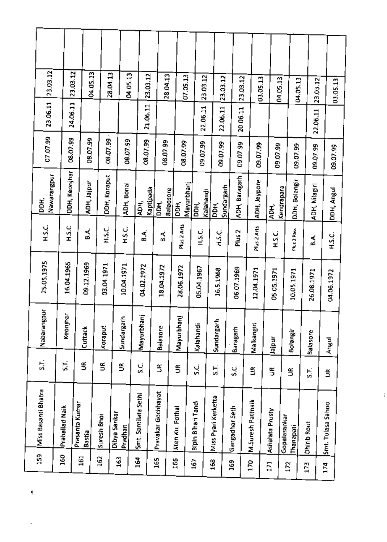| 23.03.12            |                | 23.03.12       | 04.05.13      | 28.04.13     | 04.05.13                |                      | 23.03.12  | 28.04.13             | 07.05.13           | 23.03.12           |                     | 23.03.12       | 23.03.12          | 03.05.13          |                  | 04.05.13     | 04.05.13      | 23.03.12           |                   | 03.05.13   |
|---------------------|----------------|----------------|---------------|--------------|-------------------------|----------------------|-----------|----------------------|--------------------|--------------------|---------------------|----------------|-------------------|-------------------|------------------|--------------|---------------|--------------------|-------------------|------------|
| 23.06.11            | 24.06.11       |                |               |              |                         |                      | 21.06.11  |                      |                    | 22.06.11           |                     | 22.06.11       | 20.06.11          |                   |                  |              |               | 22.06.11           |                   |            |
| 07.07.99            | 08.07.99       |                | 08.07.99      | 08.07.99     | 08.07.99                |                      | 08.07.99  | 08.07.99             | 08.07.99           | 09.07.99           |                     | 09.07.99       | 09.07.99          | 09.07.99          | 09.07.99         |              | 09.07.99      | 09.07.99           |                   | 09.07.99   |
| Nawarangpur<br>DDH, | DDH, Keonjhar  |                | ADH, Jajpur   | DDH, Koraput | ADH, Bonai              | АDН,                 | Kaptipada | Balaosore<br>Б.<br>Б | Mayurbhanj<br>DDH, | DDH,               | Kalahandi<br>DDH,   | Sundargarh     | ADH, Baragarh     | ADH, Jeypore      | ADH,             | Kendrapara   | DDH, Bolangir | ADH, Nilagiri      |                   | DDH, Angul |
| Н.S.C.              | H.S.C          |                | Ś.            | HS.C.        | HS.C.                   |                      | 8.A       | s.A.                 | Plus Z Arts        | ن<br>1.5 H         |                     | H.S.C.         | Plus <sub>2</sub> | Plus Z Arts       | i)<br>Sr         |              | Plus 2 Pass   | а.<br>В            |                   | НS.C.      |
| 25.05.1975          | 16.04.1965     |                | 09.12.1969    | 03.04.1971   | 10.04.1971              | 04.02.1972           |           | 18.04.1972           | 28.06.1972         | 05.04.1967         |                     | 16.5.1968      | 06.07.1969        | 12.04.1971        | 05.05.1971       |              | 10.05.1971    | 26.08.1971         |                   | 04.06.1972 |
| Nabarangpur         | ĕ<br>Keonji    |                | Cuttack       | Koraput      | Sundargarh              | Mayurbhanj           |           | Balasore             | Mayurbhanj         | Kalahandi          |                     | s<br>Sundargar | Baragarh          | Malkangiri        | <b>uder</b>      |              | Bolangir      | Balasore           | Angul             |            |
| 5.                  | ŠΪ,            | S              |               | $\tilde{5}$  | S                       | ن<br>م               |           | ŝ                    | Š                  | ن<br>م             | ζí,                 |                | ن<br>م            | Š                 | Š                |              | š             | 51,                | š                 |            |
| Miss Basanti Bhatra | Prahallad Naik | Prasanta Kumar | <b>Bastia</b> | Suresh Bhoi  | Dibya Sankar<br>Pradhan | Smt. Santilata Sethi |           | Pravakar Gochhayat   | Jiten Ku. Pothal   | Bipin Bihari Tandi | Miss Pyari Kerketta |                | Gangadhar Seth    | M.Suresh Pattnaik | Ashalata Prusty  | Gopalasankar | Thanapati     | <b>Ohirib Rout</b> | Smt. Tulasa Sahoo |            |
| 39                  | 360            | 161            |               | 162          | 163                     | 164                  |           | 165                  | 166                | 167                | 168                 |                | 369               | 20                | $\overline{171}$ | 27           |               | 173                | 174               |            |

ţ

ì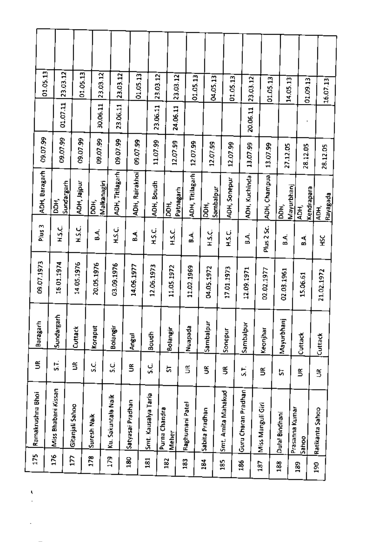|                   |                                                                                     |                 |                        |                                     |                                                                      |                                                 |                      |                                        |                                                                         |                               | 01.05.13              |                                                                                    |                                  |                                             |                                                                         |                                                                     |                   |                                      |                                               |                                                             |                                                                  | 16.07.13                                                                           |
|-------------------|-------------------------------------------------------------------------------------|-----------------|------------------------|-------------------------------------|----------------------------------------------------------------------|-------------------------------------------------|----------------------|----------------------------------------|-------------------------------------------------------------------------|-------------------------------|-----------------------|------------------------------------------------------------------------------------|----------------------------------|---------------------------------------------|-------------------------------------------------------------------------|---------------------------------------------------------------------|-------------------|--------------------------------------|-----------------------------------------------|-------------------------------------------------------------|------------------------------------------------------------------|------------------------------------------------------------------------------------|
|                   | 01.07.11                                                                            |                 |                        |                                     | 23.06.11                                                             |                                                 |                      |                                        | 24.06.11                                                                |                               |                       |                                                                                    |                                  |                                             | 20.06.11                                                                |                                                                     |                   |                                      |                                               | $\blacksquare$                                              |                                                                  |                                                                                    |
| 09.07.99          | 09.07.99                                                                            |                 |                        |                                     |                                                                      |                                                 |                      |                                        | 12.07.99                                                                |                               | 12.07.99              | 12.07.99                                                                           |                                  |                                             | 13.07.99                                                                |                                                                     |                   |                                      |                                               | 28.12.05                                                    |                                                                  |                                                                                    |
|                   | ă                                                                                   |                 | DDH,                   | Malkanagiri                         | ADH, Titilagarh                                                      |                                                 |                      |                                        | DDH,                                                                    |                               |                       |                                                                                    |                                  |                                             |                                                                         |                                                                     |                   |                                      |                                               |                                                             |                                                                  | <b>Ebegeve</b>                                                                     |
| Plus <sub>3</sub> | нS.C                                                                                | ں کا            |                        |                                     | H.S.C.                                                               | Ь.                                              |                      |                                        | H.S.C.                                                                  |                               |                       | нs.                                                                                |                                  |                                             | đ.                                                                      | Plus 2 Sc.                                                          |                   | ۸.<br>ه                              |                                               |                                                             |                                                                  |                                                                                    |
|                   | 15.01.1974                                                                          | 14.05.1976      |                        |                                     | 03.09.1976                                                           | 14.06.1977                                      |                      |                                        | 11.05.1972                                                              |                               |                       | 04.05.1972                                                                         |                                  |                                             | 12.09.1971                                                              | 02.02.1977                                                          |                   | 02.03.1961                           |                                               |                                                             | 21.02.1972                                                       |                                                                                    |
|                   | t<br>Sundarg                                                                        | Cuttack         |                        |                                     |                                                                      | Angul                                           | Boudh                |                                        | Bolangir                                                                |                               |                       | Sambalpur                                                                          |                                  |                                             |                                                                         | Keonjhar                                                            |                   | Έ                                    |                                               |                                                             |                                                                  |                                                                                    |
|                   | ί,                                                                                  | š               | ن<br>م                 |                                     |                                                                      | Š                                               | ن<br>م               |                                        | 능                                                                       |                               |                       | š                                                                                  | Š                                |                                             | ST.                                                                     | ⋚                                                                   |                   |                                      |                                               |                                                             | S                                                                |                                                                                    |
|                   | Miss Bhabani Kissan                                                                 | Gitanjali Sahoo | Suresh Naik            |                                     |                                                                      | Satyasai Pradhan                                | Smt. Kausalya Taria  |                                        |                                                                         |                               |                       |                                                                                    |                                  |                                             |                                                                         |                                                                     |                   |                                      |                                               |                                                             |                                                                  |                                                                                    |
|                   |                                                                                     | 27              | 178                    |                                     |                                                                      | 180                                             | 181                  |                                        |                                                                         | 183                           |                       |                                                                                    | 185                              |                                             |                                                                         | 187                                                                 |                   |                                      |                                               |                                                             |                                                                  |                                                                                    |
|                   | 01.05.13<br>ADH, Baragarh<br>09.07.1973<br>Baragarh<br>S<br>Ramakrushna Bhoi<br>175 | 176             | 23.03.12<br>Sundargarh | 01.05.13<br>09.07.99<br>ADH, Jajpur | 23.03.12<br>30.06.11<br>09.07.99<br>₫.<br>B<br>20.05.1976<br>Koraput | Bolangir<br>ن<br>ن<br>Ku. Sakuntala Naik<br>179 | 23.03.12<br>09.07.99 | 01.05.13<br>09.07.99<br>ADH, Rairakhol | 23.03.12<br>23.06.11<br>11.07.99<br>ADH, Boudh<br>ης<br>Τ<br>12.06.1973 | Purna Chandra<br>Meher<br>182 | 23.03.12<br>Patnagarh | ADH, Titilagarh<br>₫.<br>B<br>11.02.1969<br><b>Nuapada</b><br>S<br>Raghumani Patel | а,<br>В<br>Sabita Pradhan<br>184 | 04.05.13<br>Sambalpur<br>Smt. Amita Mahakud | 01.05.13<br>12.07.99<br>ADH, Sonepur<br>H.S.C.<br>17.01.1973<br>Sonepur | 23,03.12<br>ADH, Kuchinda<br>Sambalpu<br>Guru Charan Pradhan<br>186 | Miss Manguli Giri | 01.05.13<br>13.07.99<br>ADH, Champua | ĎН,<br>Mayurbha<br>5<br>Dulal Bindhani<br>188 | 14.05.13<br>27.12.05<br>Mayurbhanj<br>Prasanna Kumar<br>189 | 01.09.13<br>ÃОН,<br>А.<br>В<br>15.06.61<br>Cuttack<br>ã<br>Sahoo | 28.12.05<br>kendrapara<br>$\frac{1}{2}$<br>ΗŠ<br>Cuttack<br>Ratikanta Sahoo<br>390 |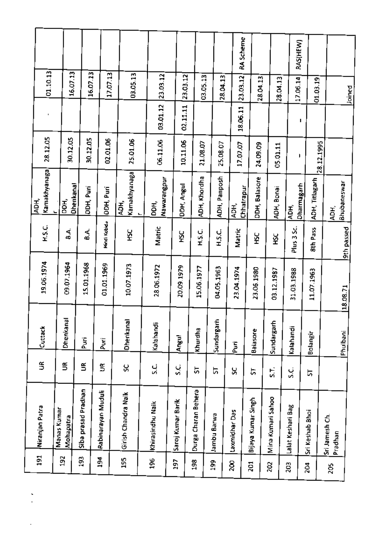|      |                |                                 |           |                     |                    |                        |                     |                   |                     |              |                    | RA Scheme     |                             |                   |                   | RAS(HEW)          |                |                           |             |
|------|----------------|---------------------------------|-----------|---------------------|--------------------|------------------------|---------------------|-------------------|---------------------|--------------|--------------------|---------------|-----------------------------|-------------------|-------------------|-------------------|----------------|---------------------------|-------------|
|      | 01.10.13       |                                 | 16.07.13  | 16.07.13            | 17.07.13           | 03.05.13               | 23.03.12            | 23.03.12          |                     | 03.05.13     | 28.04.13           | 23.03.12      | 28.04.13                    |                   | 28.04.13          | 17.06.14          | 01.03.19       |                           | Joined      |
|      |                |                                 |           |                     |                    |                        | 03.01.12            | 02,11.11          |                     |              |                    | 18.06.11      |                             |                   |                   | ı                 |                |                           |             |
|      | 28.12.05       |                                 | 30.12.05  | 30.12.05            | 02.01.06           | 25.01.06               | 06.11.06            | 10.11.06          |                     | 21.08.07     | 25.08.07           | 17.07.07      | 24.09.09                    | 05.01.11          |                   | r                 | 28.12.1995     |                           |             |
| ADH, | Kamakhyanaga   | DDH,                            | Ohenkanal | DDH, Puri           | DDH, Puri          | Kamakhyanaga<br>ई<br>इ | Nawarangpur<br>DDH, | DDH, Angul        |                     | ADH, Khordha | ADH, Panposh       | ADH,          | DDH, Balasore<br>Chhatrapur | ADH, Bonai        | ADH,              | <b>Oharmagarh</b> | ADH, Titlagarh | АDН,                      | Bhubaneswar |
|      | H.S.C.         | ا<br>ه                          |           | đ.                  | Hindi Kabid.       | Й                      | Matric              | Ρă                |                     | ں<br>12      | H.S.C.             | Matric        | Я                           | š                 | Plus 3 Sc.        |                   | 8th Pass       |                           | 9th passed  |
|      | 19.06.1974     | 09.07.1964                      |           | 15.01.1968          | 01.01.1969         | 10.07.1973             | 28.06.1972          | 20.09.1979        | 15.06.1977          |              | 04.05.1963         | 23.04.1974    | 23.06.1980                  | 03.12.1987        | 31.03.1988        |                   | 11.07.1963     |                           | 18.08.71    |
|      | Cuttack        | Dhenkanal                       |           | Puri                | Puri               | Dhenkanal              | Kalahandi           | Angul             | Khurdha             |              | ₽<br>Sundargar     | ξ             | Balasore                    | Sundargarl        | Kalahandi         |                   | Bolangir       |                           | Phulbani    |
|      | S              | S                               |           | š                   | S                  | X                      | ن<br>م              | ن<br>ه            | 5                   |              | ದ                  | χ             | 5                           | ί.                | ن<br>م            |                   | ᇅ              |                           |             |
|      | Niranjan Patra | Manas Kumar<br><b>Mohapatra</b> |           | Siba prasad Pradhan | Rabinarayan Muduli | Girish Chandra Naik    | Khirasindhu Naik    | Saroj Kumar Barik | Durga Charan Behera |              | <b>Barve Barwa</b> | Laxmidhar Das | Bijaya Kumar Singh          | Mina Kumari Sahoo | Lalat Keshari Bag | Sri Keshab Bhoi   |                | Sri Jamesh Ch.<br>Pradhan |             |
|      | 191            | 192                             | 3         |                     | 194                | 195                    | 196                 | 197               | 38                  |              | $\frac{5}{2}$      | 200           | $\overline{a}$              | 202               | 203               | 204               |                | 205                       |             |
|      |                |                                 |           |                     |                    |                        |                     |                   |                     |              |                    |               |                             |                   |                   |                   |                |                           |             |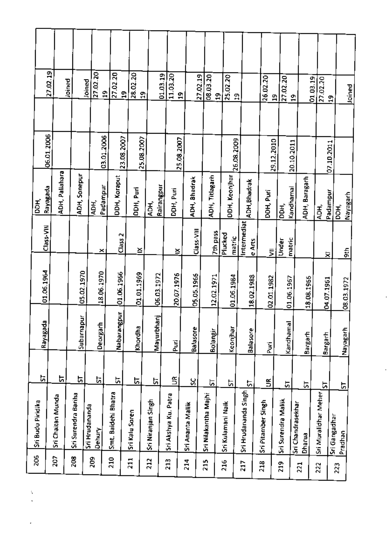|                   | 27.02.19                   | Joined              | Joined         | 27.02.20         | 27.02.20<br>$\mathbf{r}$ | g,             | 28.02.20<br><u>ន្</u> | 01.03.19           | 11.03.20             | e,                | 27.02.19     | 08.03.20<br>$\frac{9}{11}$ | 25.02.20          | ្នា                   | 26.02.20           | 27.02.20<br>$\overline{a}$ | 2                 | 01.03.19      | 27.02.20             | $\mathbf{r}$    | Joined           |
|-------------------|----------------------------|---------------------|----------------|------------------|--------------------------|----------------|-----------------------|--------------------|----------------------|-------------------|--------------|----------------------------|-------------------|-----------------------|--------------------|----------------------------|-------------------|---------------|----------------------|-----------------|------------------|
|                   |                            |                     |                |                  |                          |                |                       |                    |                      |                   |              |                            |                   |                       |                    |                            |                   |               |                      |                 |                  |
|                   | 06.01.2006                 |                     |                | 03.01.2006       |                          | 23.08.2007     | 25.08.2007            |                    |                      | 25.08.2007        |              |                            | 26.08.2009        |                       | 29.12.2010         |                            | 20.10.2011        |               |                      | 07.10.2011      |                  |
| $\overline{a}$    | ADH, Pallahara<br>Rayagada |                     | ADH, Sonepur   | Padampur<br>ADH, | DDH, Koraput             |                | DDH, Puri             | Rairangpur<br>ADH, | DDH, Puri            |                   | ADH, Bhadrak | ADH, Titlagarh             | DDH, Keonjhar     | ADH, Bhadrak          | DOH, Puri          | bDH,                       | Kandhamal         | ADH, Baragarh | ADH,                 | <b>Naurepre</b> | Nayagarh<br>DDH, |
| Class-VIII        |                            |                     |                | ×                | Class <sub>2</sub>       |                | ≚                     |                    | ≚                    |                   | Class-VIII   | 7th pass                   | Plucked<br>matric | Intermediat<br>e Arts | Š                  | Under                      | matric            |               |                      | ≅               | $rac{1}{9}$      |
| 01.06.1964        |                            |                     | 05.02.1970     | 18.06.1970       | 01.06.1956               |                | 01.01.1969            | 06.03.1972         | 20.07.1976           |                   | 05.05.1966   | 12.02.1971                 | 01.06.1984        | 18.02.1988            | 02.01.1982         |                            | 01.06.1967        | 18.08.1955    |                      | 04.07.1961      | 08.03.1972       |
| Rayagada          |                            |                     | Subarnapur     | <u>Deorgarh</u>  | <b>Nabarangpur</b>       |                | Khordha               | Mayurbhanj         | ja<br>Puri           |                   | Balasore     | Bolangir                   | Keonjhar          | Balasore              | Puri               |                            | Kandhamal         | Bargarh       | Bargarh              |                 | Nayagarh         |
| r,                | ᇅ                          |                     | r.             | r.               | 흕                        |                | ৯                     | r.                 | S                    |                   | χ            | 능                          | ۲,                | 5                     | 5                  |                            | 5                 | 능             | <u>ন</u>             |                 | 5                |
| Sri Budu Piridika | Sri Chaitan Munda          | Sri Surendra Bariha | Sri Hrudananda | Dehury           | Smt. Baidehi Bhatra      | Sri Kalu Soren |                       | Sri Niranjan Singh | Sri Akshya Ku, Patra | Sri Ananta Mallik |              | Sri Nilakantha Majhi       | Sri Kulamani Naik | Sri Hrudananda Singh  | Sri Pitamber Singh | Sri Surendra Mallik        | Sri Chandrasekhar | <b>Dharua</b> | Sri Muralidhar Meher | Sri Gangadhar   | Pradhan          |
| 206               | 207                        | 208                 |                | 209              | 210                      | 211            |                       | 212                | 213                  | 214               |              | 215                        | 216               | 217                   | 218                | 219                        |                   | 221           | 222                  |                 | 223              |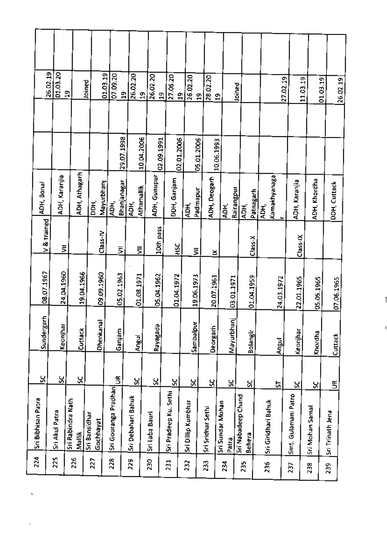| 224 | Sri Bibhisan Patra                  | <u>ន</u>    | Sundergarh | 08.07.1967 | V& trained | ADH, Bonai                      |            | 26.02.19                   |  |
|-----|-------------------------------------|-------------|------------|------------|------------|---------------------------------|------------|----------------------------|--|
| 225 | Sri Akul Patra                      | S,          | Keonjhar   | 24,04,1960 | ξ          | ADH, Karanjia                   |            | 01.03.20                   |  |
| 226 | Sri Rabindra Nath<br>Mallik         | Χ           | Cuttack    | 19.04.1966 |            | ADH, Athagarh                   |            | $\mathbf{a}$               |  |
| 227 | Sri Bansidhar<br>Gochhayat          |             |            |            |            | DDH,                            |            | Joined                     |  |
|     |                                     |             | Dhenkanal  | 09.09.1960 | Class-IV   | Mayurbhanj                      |            | 01.03.19                   |  |
| 228 | Sri Gouranga Pradhan                | S           | Ganjam     | 05.02.1963 | ₹          | Bhanjanagar<br>$\frac{1}{2}$    | 29.07.1998 | 07.09.20<br>$\mathbf{a}$   |  |
| 229 | Sri Debahari Bahuk                  | Χ           | Angul      | 01.08.1971 | ₹          | Athamallik<br>ADH,              | 10.04.2006 | 26.02.20<br>윾              |  |
| 230 | Sri Laba Bauri                      | Я           | Rayagada   | 05.04.1962 | 10th pass  | ADH, Gunupur                    | 02.09.1991 | 26.02.20<br>$\overline{a}$ |  |
| 231 | Sri Pradeep Ku. Sethi               | S           |            | 01.04.1972 | НSС        | DDH, Ganjam                     | 02.01.2006 | 27.06.20                   |  |
| 232 | Sri Dillip Kumbhar                  | χ           | Sambalpu   | 19.06.1973 | ξ          | <b>Padmapur</b><br>АDН,         | 05.01.2006 | 26.02.20<br>$\frac{1}{2}$  |  |
| 233 | Sri Sridhar Sethi                   | g           | Deorgarh   | 20.07.1961 | ×          | ADH, Deogarh                    |            | 28.02.20<br>ã              |  |
| 234 | Sri Sundar Mohan<br>Patra           | X           | Mayurbhanj | 03.01.1971 |            | AОH,                            | 10.06.1993 | $\mathbf{a}$               |  |
| 235 | Sri Nabadeep Chand<br><b>Behera</b> | X           | Bolangir   | 01.04.1959 | $Class-X$  | Rairangpur<br>Patnagarh<br>ADH, |            | Joined                     |  |
| 236 | Sri Giridhari Bahuk                 | 능           | Angul      | 24.03.1972 |            | <b>Kamakhyanaga</b><br>ADH,     |            |                            |  |
| 237 | Smt. Gulamani Patro                 | X           | Keonjhar   | 22.01.1965 | $Class-IX$ | ADH, Karanjia                   |            | 27.02.19                   |  |
| 238 | Sri Mohan Samal                     | ૪           | Khordha    | 05.05.1965 |            | ADH, Khordha                    |            | 11.03.19<br>01.03.19       |  |
| 239 | Sri Trinath Jena                    | $\tilde{5}$ | Cuttack    | 07.06.1965 |            | DDH, Cuttack                    |            | 26.02.19                   |  |
|     |                                     |             |            |            |            |                                 |            |                            |  |

i.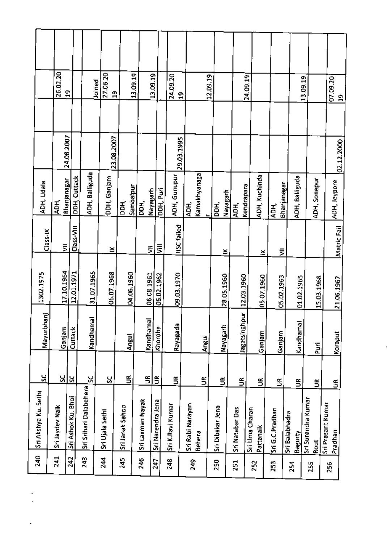|                      | 26.02.20                               | ግ                  |                        | <u>  Joined</u><br>  27.06.20 <br>ግ | 13.09.19         |                         | 13.09.19                     | 24,09.20         | å,               |              | 12.09.19         |            |                  | 24.09.19       |               |                 |                               | 13.09.19                   |                   | 07.09.20<br>$\mathbf{a}$ |
|----------------------|----------------------------------------|--------------------|------------------------|-------------------------------------|------------------|-------------------------|------------------------------|------------------|------------------|--------------|------------------|------------|------------------|----------------|---------------|-----------------|-------------------------------|----------------------------|-------------------|--------------------------|
|                      |                                        |                    |                        |                                     |                  |                         |                              |                  |                  |              |                  |            |                  |                |               |                 |                               |                            |                   |                          |
|                      | 24.08.2007                             |                    |                        | 23.08.2007                          |                  |                         |                              | 29.03.1995       |                  |              |                  |            |                  |                |               |                 |                               |                            |                   | 02.12.2000               |
| ADH, Udala           | Bhanjanag <i>ar</i><br>$\overline{AB}$ | DDH, Cuttack       | ADH, Balliguda         | DDH, Ganjam                         | Sambalpur<br>ăя, | DDH,                    | DDH, Puri<br><u>Nayagarh</u> | ADH, Gunupur     | ADH.             | Kamakhyanaga | DOH,             | Nayagarh   | 혼                | Kendrapara     | ADH, Kuchinda | ADH,            | ADH, Balliguda<br>Bhanjanagar | ADH, Sonepur               |                   | ADH, Jeypore             |
| Class-IX             | ξ                                      | Class-VIII         |                        | ≚                                   |                  |                         | $\bar{z}$<br>₹               | HSC failed       |                  |              |                  | ×          |                  |                | ×             | ₹               |                               |                            |                   | Matric Fail              |
| 1302.1975            | 17.10.1964                             | 12.01.1971         | 31.07.1965             | 06.07.1968                          | 04.06.1950       |                         | 06.08.1961<br>06.02.1962     | 09.03.1970       |                  |              |                  | 28.05.1960 | 12.03.1960       |                | 05.07.1960    | 05.02.1963      | 01.02.1965                    |                            | 15.03.1968        | 21.06.1967               |
| Έ<br>Mayurbha        | Ganjam                                 | Cuttack            | Kandhama               |                                     | Angul            | Kandhamal               | Khordha                      | Rayagada         |                  | Angul        |                  | Nayagarh   | ă<br>ddarisingho |                | Ganjam        | Ganjam          | Kandhamal                     |                            | ă.                | Koraput                  |
| ă                    | <u>u</u>                               | $\infty$           | Χ                      | <u>ន</u>                            | ⋚                | š                       | š                            | Ĕ                |                  | S            |                  | ⋚          | S                |                | $\tilde{5}$   | 5               | 5                             |                            | ⋚                 | S                        |
| Sri Akshya Ku. Sethi | Sri Jaydev Naik                        | Sri Ashok Ku. Bhoi | Srl Srihari Dalabehera | Sri Ujala Sethi                     | Sri Janak Sahoo  | <b>Sri Laxman Nayak</b> | Sri Narendra Jena            | Sri K.Ravi Kumar | Sri Rabi Narayan | Behera       | Sri Dibakar Jena |            | Sri Natabar Das  | Sri Uma Charan | Pattanaik     | Sri G.C.Pradhan | Sri Balabhadra<br>Bagurty     | Sri Surendra Kumar<br>Rout | Sri Prasant Kumar | Pradhan                  |
| 240                  | 241                                    | 242                | 243                    | $^{244}$                            | 245              | 246                     | 247                          | 248              | 249              |              | 250              |            | 251              | 252            |               | 253             | 254                           | 255                        |                   | 256                      |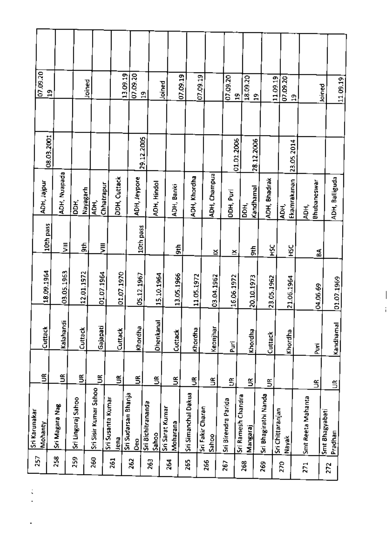| 257 | Sri Karunakar<br>Mohanty             | ã                                                                                            | Cuttack              | 18.09.1964 | 10th pass     | ADH, Jajpur             |            |                 | 07.09.20             |  |
|-----|--------------------------------------|----------------------------------------------------------------------------------------------|----------------------|------------|---------------|-------------------------|------------|-----------------|----------------------|--|
| 258 | Sri Magara Nag                       | $\widetilde{\mathbb{E}}$                                                                     | $\equiv$<br>Kalahand | 03.05.1963 | $\bar{5}$     | ADH, Nuapada            | 08.03.2001 | ₽               |                      |  |
| 259 | Sri Lingaraj Sahoo                   | š                                                                                            | Cuttack              | 12.01.1972 | ă             | DЭH,                    |            |                 |                      |  |
| 260 | Sri Sisir Kumar Sahoo                | $\widetilde{\mathbb{B}}$                                                                     | Gajapati             | 01.07.1964 | J             | Nayagarh<br>ADH,        |            |                 | Joined               |  |
| 261 | Sri Susanta Kumar                    |                                                                                              |                      |            |               | Chhatrapur              |            |                 |                      |  |
|     | Sri Sudarsan Bhanja<br>$\frac{1}{2}$ | š                                                                                            | Cuttack              | 01.07.1970 |               | DDH, Cuttack            |            |                 | 13.09.19             |  |
| 262 | 0 <sub>60</sub>                      | $\mathbb{E}% _{t}\left  \mathcal{F}_{t}\right  =\mathbb{E}_{\left  \mathcal{F}_{t}\right  }$ | Khordha              | 05.12.1967 | 10th pass     | ADH, Jeypore            | 29.12.2005 |                 | 07.09.20             |  |
| 263 | Sri Bichitrananda<br>Sahoo           | S                                                                                            | Ohenkanal            | 15.10.1964 |               | ADH, Hindol             |            | $\mathbf{5}$    |                      |  |
|     | Sri Sarat Kumar                      |                                                                                              |                      |            |               |                         |            | Upined          |                      |  |
| 264 | Moharana                             | š                                                                                            | Cuttack              | 13.05.1966 | $\frac{1}{2}$ | ADH, Banki              |            |                 | 07.09.19             |  |
| 265 | Sri Simanchal Dakua                  | 5                                                                                            | Khordha              | 11.05.1972 |               | ADH, Khordha            |            |                 |                      |  |
| 266 | Sri Fakir Charan                     |                                                                                              |                      |            |               |                         |            |                 | 07.09.19             |  |
|     | Sahoo                                | S                                                                                            | Keonjhar             | 03.04.1962 | ≊             | ADH, Champua            |            |                 |                      |  |
| 267 | Sri Birendra Parida                  | S                                                                                            | j<br>Puri            | 16.06.1972 | ≚             | DDH, Puri               | 01.01.2006 |                 | 07.09.20             |  |
| 268 | Sri Ramesh Chandra                   |                                                                                              |                      |            |               | $\overline{\mathsf{B}}$ |            | $\mathbf{a}$    |                      |  |
|     | Mangaraj                             | S                                                                                            | Khordha              | 20.10.1973 | Ħ             | <u>Kandhamal</u>        | 28.12.2006 | $\overline{19}$ | 18.09.20             |  |
| 269 | Sri Bhagirathi Nanda                 | S                                                                                            | Cuttack              | 23.05.1962 | Ч             | ADH, Bhadrak            |            |                 |                      |  |
| 270 | Sri Chittaranjan<br>Nayak            |                                                                                              | Khordha              | 21.06.1964 |               | ADH,                    |            |                 | 11.09.19<br>07.09.20 |  |
|     |                                      |                                                                                              |                      |            | р<br>К        | Ekamrakanan             | 23.05.2014 | $\Xi$           |                      |  |
| 271 | Smt Reeta Mahanta                    |                                                                                              |                      |            |               | ÄDН,                    |            |                 |                      |  |
|     | Smt Bhagyabati                       | š                                                                                            | Puri                 | 04.06.69   | á             | Bhubaneswar             |            | Joined          |                      |  |
| 272 | Pradhan                              | S                                                                                            | Kandhamal            | 01.07.1969 |               | ADH, Balliguda          |            |                 |                      |  |
|     |                                      |                                                                                              |                      |            |               |                         |            | 11.09.19        |                      |  |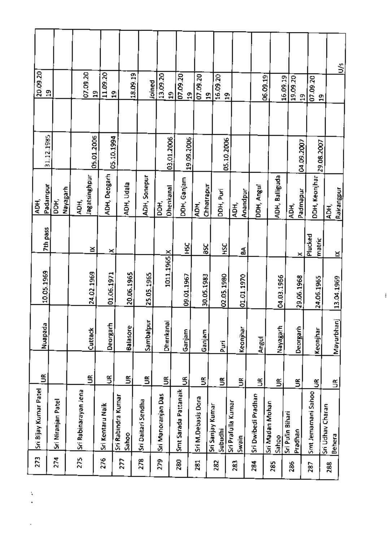|                       |            |                    |                      |                          |                  |                             |                    |                          |                         |                    |                             |                    |                      |                     |                          |                  |            |                                         | Š                              |
|-----------------------|------------|--------------------|----------------------|--------------------------|------------------|-----------------------------|--------------------|--------------------------|-------------------------|--------------------|-----------------------------|--------------------|----------------------|---------------------|--------------------------|------------------|------------|-----------------------------------------|--------------------------------|
| 20.09.20              | 몸          |                    |                      | 07.09.20<br>$\mathbf{a}$ | 11.09.20         | 읔                           | 18.09.19           | 13.09.20<br>Joined<br>9  | $\boxed{07.09.20}$<br>위 | 07.09.20           | 16.09.20<br>$\mathbf{r}$    | 51                 |                      |                     | 06.09.19                 | 16.09.19         | 19.09.20   | $\frac{19}{19}$<br>$\frac{20}{20}$<br>흮 |                                |
|                       |            |                    |                      |                          |                  |                             |                    |                          |                         |                    |                             |                    |                      |                     |                          |                  |            |                                         |                                |
|                       | 31.12.1985 |                    |                      | 05.01.2006               | 05.10.1994       |                             |                    | 03.01.2006               | 19.09.2006              |                    |                             | 05.10.2006         |                      |                     |                          |                  | COC: 60'NO | 29.08.2007                              |                                |
| ADH,                  | Padampur   | Nayagarh<br>ĎН,    | АDН,                 | Jagatsinghpur            | ADH, Deogarh     | ADH, Udala                  | ADH, Sonepur       | <b>Ohenkanal</b><br>BDH, | DDH, Ganjam             | ĂĎН,               | Chhatrapur<br>DDH, Puri     |                    | Anandpur<br>के<br>वि | DDH, Angul          | ADH, Balliguda           | ADH,             | Padmapur   | DDH, Keonjhar                           | Rairangpur<br>$\sum_{i=1}^{n}$ |
|                       | 7th pass   |                    |                      | ×                        | ×                |                             |                    |                          | ă                       | šC                 | ЯŠК                         |                    | á                    |                     |                          |                  | $\times$   | Plucked<br>matric                       | ≚                              |
|                       | 10.05.1969 |                    |                      | 24.02.1969               | 01.06.1971       | 20.06.1965                  | 25.05.1965         | 1011.1965 x              | 09.01.1967              | 30.05.1983         | 02.05.1980                  |                    | 01.01.1970           |                     |                          | 04.03.1966       | 29.06.1968 | 24.06.1965                              | 13.04.1969                     |
|                       | Nuapada    |                    |                      | Cuttack                  | Deorgarh         | Balasore                    | Sambalpur          | Dhenkanal                | Ganjam                  | Ganjam             | ă                           |                    | Keonjhar             | Angul               |                          | Nayagarh         | Deorgarh   | Keonjhar                                | Mayurbhanj                     |
|                       | S          |                    |                      | Š                        | S                | Š,                          | ⋚                  | S                        | $\tilde{5}$             | S                  | S                           |                    | S                    | $\tilde{5}$         | ⋚                        |                  | š          | S                                       | $\tilde{z}$                    |
| Sri Bijay Kumar Patel |            | Sri Niranjan Patel | Sri Rabinarayan Jena |                          | Sri Kentaru Naik | Sri Rabindra Kumar<br>Sahoo | Sri Daitari Sendha | Sri Manoranjan Das       | Smt Sarada Pattanaik    | Sri M.Debasis Dora | Sri Sanjay Kumar<br>Subudhi | Sri Prafulla Kumar | <b>Intervs</b>       | Sri Dwibedi Pradhan | Sri Madan Mohan<br>Sahoo | Sri Pulin Bihari | Pradhan    | Smt Jemamani Sahoo                      | Sri Udhay Charan<br>Behera     |
| 273                   |            | 274                | 275                  |                          | 276              | 277                         | 278                | 279                      | 280                     | 281                | 282                         |                    | 283                  | 284                 | 285                      | 286              |            | 287                                     | 288                            |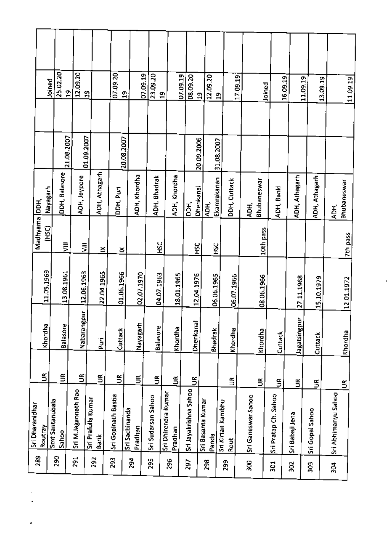| 289 | Sri Dharanidhar        |             |                   |            | Madhyama DDH, |               |            |               |  |
|-----|------------------------|-------------|-------------------|------------|---------------|---------------|------------|---------------|--|
|     | Routray                | ⋚           | Khordha           | 11.05.1969 | (нSC)         | Nayagarh      |            | <b>Joined</b> |  |
| 390 | <b>Smt Santanubala</b> |             |                   |            |               |               |            |               |  |
|     | Sahoo                  | ⋚           | Balasore          | 13.08.1961 | 言             | DDH, Balasore | 21.08.2007 | 25.02.20      |  |
| 291 |                        |             |                   |            |               |               |            | 위             |  |
|     | Sri M.Jagannath Rao    | ã           | Nabarangpur       | 12.06.1963 | 责             | AOH, Jeypore  | 01.09.2007 | 12.09.20      |  |
| 292 | Sri Prafulla Kumar     |             |                   |            |               |               |            | g,            |  |
|     | Barik                  | S           | Į                 | 22.04.1965 | ×             | ADH, Athagarh |            |               |  |
| 293 | Sri Gopinath Bastia    | $\tilde{=}$ | Cuttack           | 01.06.1966 | š             | DDH, Puri     |            | 07.09.20      |  |
| 294 | Sri Sachinanda         |             |                   |            |               |               | 20.08.2007 | $\mathbf{a}$  |  |
|     | Pradhan                | 旨           | Nayagarh          | 02.07.1970 |               | ADH, Khordha  |            | 07.09.19      |  |
| 295 | Sri Sudarsan Sahoo     | S           | Balasore          | 04.07.1963 | λč            | ADH, Bhadrak  |            | 23.09.20      |  |
|     | Sri Dhirendra kumar    |             |                   |            |               |               |            | $\mathbf{a}$  |  |
| 296 | Pradhan                | š           | Khordha           | 18.01.1965 |               | ADH, Khordha  |            | [07.09.19]    |  |
| 297 | Sri Jayakrishna Sahoo  | Š           | Dhenkana          | 12.04.1976 | ă             | 공요            |            | 08.09.20      |  |
|     | Sri Basanta Kumar      |             |                   |            |               | Dhenkanal     | 20.09.2006 | $\Xi$         |  |
| 298 | Panda                  |             | Bhadrak           | 06.06.1965 | Ř             | ÁОН,          |            | 12.09.20      |  |
|     | Sri Kirtan Kambhu      |             |                   |            |               | Ekamrakanan   | 31.08.2007 | $\mathbf{a}$  |  |
| 299 | Rout                   | S           | Khordha           | 06.07.1966 |               | DDH, Cuttack  |            | 17.09.19      |  |
| Š   | Sri Ganeswar Sahoo     |             |                   |            |               | ADH,          |            |               |  |
|     |                        | S           | Khordha           | 08.06.1966 | 10th pass     | Bhubaneswar   |            | Joined        |  |
| 502 | Sri Pratap Ch. Sahoo   | š           | Cuttack           |            |               | ADH, Banki    |            |               |  |
| ã   | Sri Babaji Jena        |             |                   |            |               |               |            | 16.09.19      |  |
|     |                        | š           | <b>Tridausper</b> | 2711.1968  |               | ADH, Athagarh |            | 11.09.19      |  |
| 303 | Sri Gopal Sahoo        | S           | Cuttack           | 15.10.1979 |               | ADH, Athagarh |            | 13.09.19      |  |
| 304 | Sri Abhimanyu Sahoo    |             |                   |            |               | ADH,          |            |               |  |
|     |                        | S           | Khordha           | 12.01.1972 | 7th pass      | Bhubaneswar   |            |               |  |
|     |                        |             |                   |            |               |               |            | 11.09.19      |  |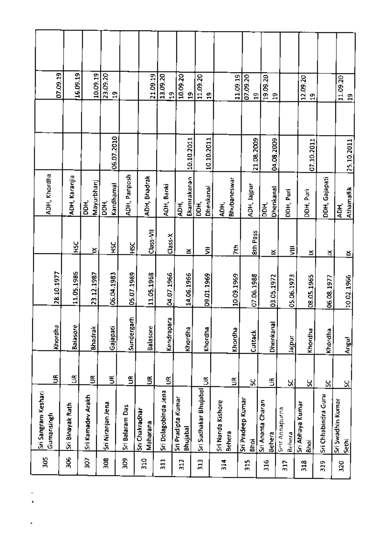| Sri Sangram Keshari                 |                               |                             |            |                          |
|-------------------------------------|-------------------------------|-----------------------------|------------|--------------------------|
| Khordha<br>$\widetilde{\mathbb{S}}$ | 28.10.1977                    | ADH, Khordha                |            | 07.09.19                 |
| Balasore<br>S                       | ЯŠ<br>11.05.1986              | ADH, Karanjia               |            | 16.09.19                 |
| Bhadrak<br>S                        | ě<br>23.12.1987               | Mayurbhanj<br>Б,            |            | 10.09.19                 |
| Gajapati<br>š                       | ЯŠК<br>06.04.1983             | Kandhamal<br>$\overline{5}$ | 06.07.2010 | 23.09.20<br>윾            |
| Sunderga<br>£                       | ŠС<br>05.07.1989<br>€         | ADH, Panposh                |            |                          |
| Balasore<br>S                       | Class-VII<br>11.05.1968       | ADH, Bhadrak                |            | 21.09.19                 |
| Kendrapara<br>S                     | Class-X<br>04.07.1966         | ADH, Banki                  |            | 13.09.20<br>$\mathbb{R}$ |
| Khordha                             | ×<br>14.06.1966               | Ekamrakanan<br>Щ.<br>Э      | 10.10.2011 | 10.09.20<br>9            |
| Khordha<br>5                        | ξ<br>09.01.1969               | Dhenkanal<br>Е,             | 10.10.2011 | 11.09.20<br>의            |
| Khordha<br>€                        | È<br>10.09.1969               | Bhubaneswar<br>Щ.           |            | 11.09.19                 |
| Cuttack<br>у                        | <b>Bth Pass</b><br>07.06.1988 | ADH, Jajpur                 | 21.08.2009 | 07.09.20<br>ä,           |
| Dhenkanal<br>5                      | ×<br>03.05.1972               | Dhenkanal<br>jDDH,          | 04.08.2009 | 19.09.20<br>ግ            |
| hajpur<br>X                         | ⋚<br>05.06.1973               | DDH, Puri                   |            |                          |
| Khordha<br>χ                        | ×<br>08.05.1965               | DDH, Puri                   | 07.10.2011 | 12.09.20<br>읔            |
| Khordha<br>X                        | ≍<br>06.08.1977               | DDH, Gajapati               |            |                          |
| Angul<br>X                          | ≚<br>10.02.1966               | Athamallik<br>АDН,          | 25.10.2011 | 11.09.20<br>$\mathbf{a}$ |